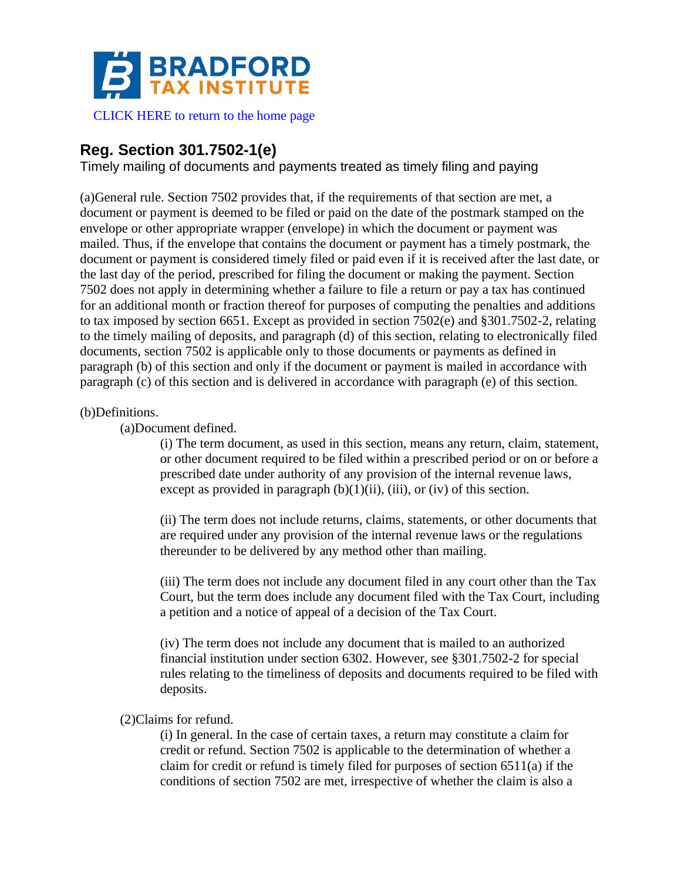

[CLICK HERE to return to the home page](https://bradfordtaxinstitute.com)

# **Reg. Section 301.7502-1(e)**

Timely mailing of documents and payments treated as timely filing and paying

(a)General rule. Section 7502 provides that, if the requirements of that section are met, a document or payment is deemed to be filed or paid on the date of the postmark stamped on the envelope or other appropriate wrapper (envelope) in which the document or payment was mailed. Thus, if the envelope that contains the document or payment has a timely postmark, the document or payment is considered timely filed or paid even if it is received after the last date, or the last day of the period, prescribed for filing the document or making the payment. Section 7502 does not apply in determining whether a failure to file a return or pay a tax has continued for an additional month or fraction thereof for purposes of computing the penalties and additions to tax imposed by section 6651. Except as provided in section 7502(e) and §301.7502-2, relating to the timely mailing of deposits, and paragraph (d) of this section, relating to electronically filed documents, section 7502 is applicable only to those documents or payments as defined in paragraph (b) of this section and only if the document or payment is mailed in accordance with paragraph (c) of this section and is delivered in accordance with paragraph (e) of this section.

## (b)Definitions.

(a)Document defined.

(i) The term document, as used in this section, means any return, claim, statement, or other document required to be filed within a prescribed period or on or before a prescribed date under authority of any provision of the internal revenue laws, except as provided in paragraph  $(b)(1)(ii)$ ,  $(iii)$ , or  $(iv)$  of this section.

(ii) The term does not include returns, claims, statements, or other documents that are required under any provision of the internal revenue laws or the regulations thereunder to be delivered by any method other than mailing.

(iii) The term does not include any document filed in any court other than the Tax Court, but the term does include any document filed with the Tax Court, including a petition and a notice of appeal of a decision of the Tax Court.

(iv) The term does not include any document that is mailed to an authorized financial institution under section 6302. However, see §301.7502-2 for special rules relating to the timeliness of deposits and documents required to be filed with deposits.

## (2)Claims for refund.

(i) In general. In the case of certain taxes, a return may constitute a claim for credit or refund. Section 7502 is applicable to the determination of whether a claim for credit or refund is timely filed for purposes of section 6511(a) if the conditions of section 7502 are met, irrespective of whether the claim is also a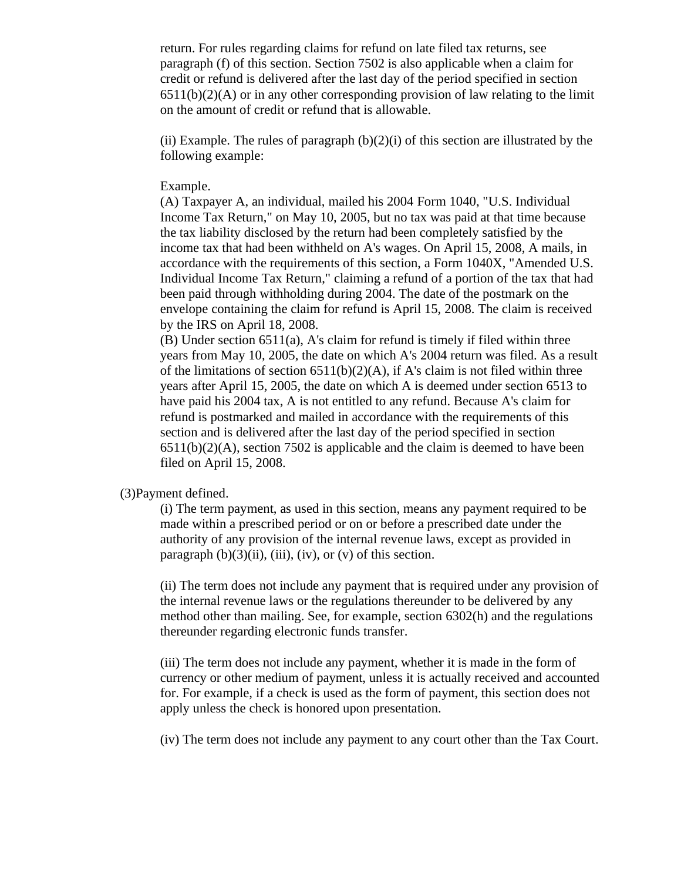return. For rules regarding claims for refund on late filed tax returns, see paragraph (f) of this section. Section 7502 is also applicable when a claim for credit or refund is delivered after the last day of the period specified in section  $6511(b)(2)(A)$  or in any other corresponding provision of law relating to the limit on the amount of credit or refund that is allowable.

(ii) Example. The rules of paragraph  $(b)(2)(i)$  of this section are illustrated by the following example:

#### Example.

(A) Taxpayer A, an individual, mailed his 2004 Form 1040, "U.S. Individual Income Tax Return," on May 10, 2005, but no tax was paid at that time because the tax liability disclosed by the return had been completely satisfied by the income tax that had been withheld on A's wages. On April 15, 2008, A mails, in accordance with the requirements of this section, a Form 1040X, "Amended U.S. Individual Income Tax Return," claiming a refund of a portion of the tax that had been paid through withholding during 2004. The date of the postmark on the envelope containing the claim for refund is April 15, 2008. The claim is received by the IRS on April 18, 2008.

(B) Under section 6511(a), A's claim for refund is timely if filed within three years from May 10, 2005, the date on which A's 2004 return was filed. As a result of the limitations of section  $6511(b)(2)(A)$ , if A's claim is not filed within three years after April 15, 2005, the date on which A is deemed under section 6513 to have paid his 2004 tax, A is not entitled to any refund. Because A's claim for refund is postmarked and mailed in accordance with the requirements of this section and is delivered after the last day of the period specified in section  $6511(b)(2)(A)$ , section 7502 is applicable and the claim is deemed to have been filed on April 15, 2008.

#### (3)Payment defined.

(i) The term payment, as used in this section, means any payment required to be made within a prescribed period or on or before a prescribed date under the authority of any provision of the internal revenue laws, except as provided in paragraph  $(b)(3)(ii)$ ,  $(iii)$ ,  $(iv)$ , or  $(v)$  of this section.

(ii) The term does not include any payment that is required under any provision of the internal revenue laws or the regulations thereunder to be delivered by any method other than mailing. See, for example, section 6302(h) and the regulations thereunder regarding electronic funds transfer.

(iii) The term does not include any payment, whether it is made in the form of currency or other medium of payment, unless it is actually received and accounted for. For example, if a check is used as the form of payment, this section does not apply unless the check is honored upon presentation.

(iv) The term does not include any payment to any court other than the Tax Court.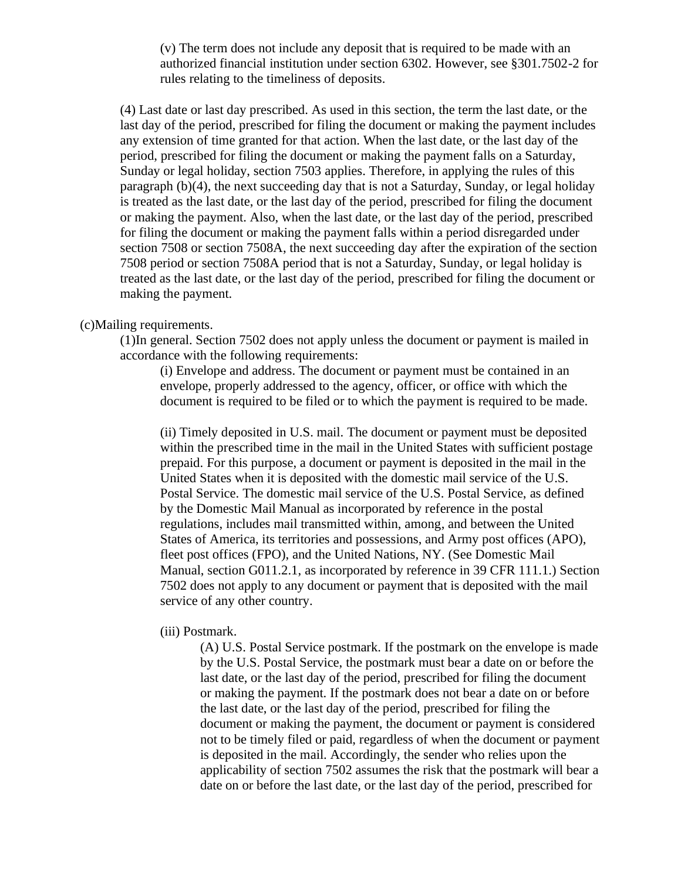(v) The term does not include any deposit that is required to be made with an authorized financial institution under section 6302. However, see §301.7502-2 for rules relating to the timeliness of deposits.

(4) Last date or last day prescribed. As used in this section, the term the last date, or the last day of the period, prescribed for filing the document or making the payment includes any extension of time granted for that action. When the last date, or the last day of the period, prescribed for filing the document or making the payment falls on a Saturday, Sunday or legal holiday, section 7503 applies. Therefore, in applying the rules of this paragraph (b)(4), the next succeeding day that is not a Saturday, Sunday, or legal holiday is treated as the last date, or the last day of the period, prescribed for filing the document or making the payment. Also, when the last date, or the last day of the period, prescribed for filing the document or making the payment falls within a period disregarded under section 7508 or section 7508A, the next succeeding day after the expiration of the section 7508 period or section 7508A period that is not a Saturday, Sunday, or legal holiday is treated as the last date, or the last day of the period, prescribed for filing the document or making the payment.

## (c)Mailing requirements.

(1)In general. Section 7502 does not apply unless the document or payment is mailed in accordance with the following requirements:

(i) Envelope and address. The document or payment must be contained in an envelope, properly addressed to the agency, officer, or office with which the document is required to be filed or to which the payment is required to be made.

(ii) Timely deposited in U.S. mail. The document or payment must be deposited within the prescribed time in the mail in the United States with sufficient postage prepaid. For this purpose, a document or payment is deposited in the mail in the United States when it is deposited with the domestic mail service of the U.S. Postal Service. The domestic mail service of the U.S. Postal Service, as defined by the Domestic Mail Manual as incorporated by reference in the postal regulations, includes mail transmitted within, among, and between the United States of America, its territories and possessions, and Army post offices (APO), fleet post offices (FPO), and the United Nations, NY. (See Domestic Mail Manual, section G011.2.1, as incorporated by reference in 39 CFR 111.1.) Section 7502 does not apply to any document or payment that is deposited with the mail service of any other country.

#### (iii) Postmark.

(A) U.S. Postal Service postmark. If the postmark on the envelope is made by the U.S. Postal Service, the postmark must bear a date on or before the last date, or the last day of the period, prescribed for filing the document or making the payment. If the postmark does not bear a date on or before the last date, or the last day of the period, prescribed for filing the document or making the payment, the document or payment is considered not to be timely filed or paid, regardless of when the document or payment is deposited in the mail. Accordingly, the sender who relies upon the applicability of section 7502 assumes the risk that the postmark will bear a date on or before the last date, or the last day of the period, prescribed for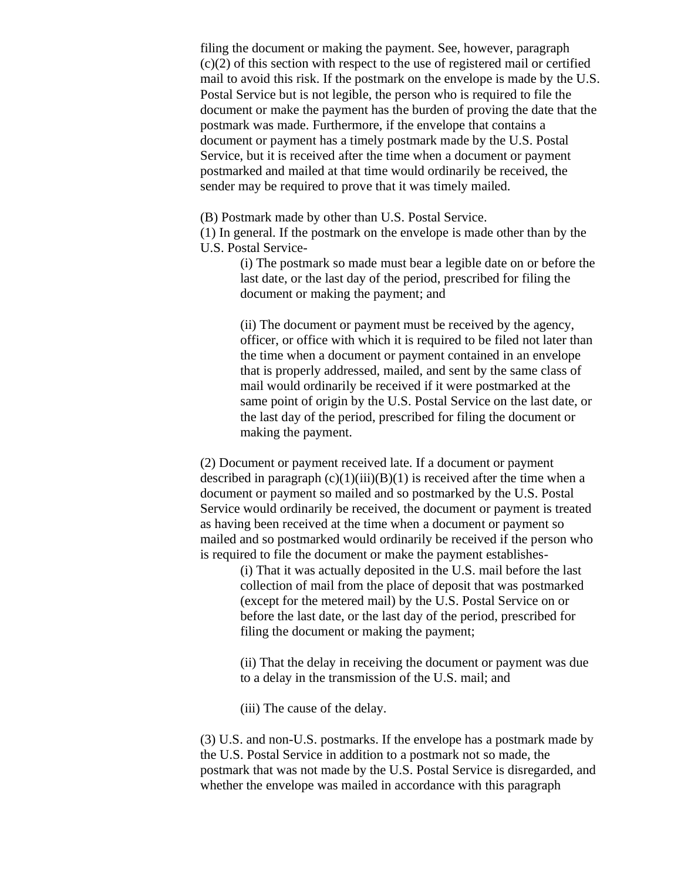filing the document or making the payment. See, however, paragraph (c)(2) of this section with respect to the use of registered mail or certified mail to avoid this risk. If the postmark on the envelope is made by the U.S. Postal Service but is not legible, the person who is required to file the document or make the payment has the burden of proving the date that the postmark was made. Furthermore, if the envelope that contains a document or payment has a timely postmark made by the U.S. Postal Service, but it is received after the time when a document or payment postmarked and mailed at that time would ordinarily be received, the sender may be required to prove that it was timely mailed.

(B) Postmark made by other than U.S. Postal Service.

(1) In general. If the postmark on the envelope is made other than by the U.S. Postal Service-

> (i) The postmark so made must bear a legible date on or before the last date, or the last day of the period, prescribed for filing the document or making the payment; and

> (ii) The document or payment must be received by the agency, officer, or office with which it is required to be filed not later than the time when a document or payment contained in an envelope that is properly addressed, mailed, and sent by the same class of mail would ordinarily be received if it were postmarked at the same point of origin by the U.S. Postal Service on the last date, or the last day of the period, prescribed for filing the document or making the payment.

(2) Document or payment received late. If a document or payment described in paragraph  $(c)(1)(iii)(B)(1)$  is received after the time when a document or payment so mailed and so postmarked by the U.S. Postal Service would ordinarily be received, the document or payment is treated as having been received at the time when a document or payment so mailed and so postmarked would ordinarily be received if the person who is required to file the document or make the payment establishes-

> (i) That it was actually deposited in the U.S. mail before the last collection of mail from the place of deposit that was postmarked (except for the metered mail) by the U.S. Postal Service on or before the last date, or the last day of the period, prescribed for filing the document or making the payment;

(ii) That the delay in receiving the document or payment was due to a delay in the transmission of the U.S. mail; and

(iii) The cause of the delay.

(3) U.S. and non-U.S. postmarks. If the envelope has a postmark made by the U.S. Postal Service in addition to a postmark not so made, the postmark that was not made by the U.S. Postal Service is disregarded, and whether the envelope was mailed in accordance with this paragraph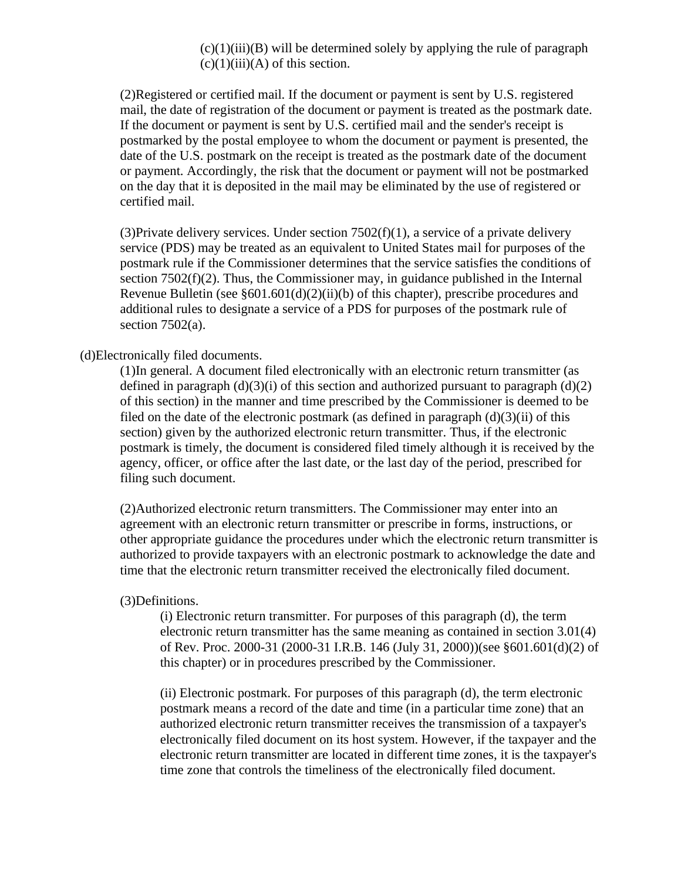$(c)(1)(iii)(B)$  will be determined solely by applying the rule of paragraph  $(c)(1)(iii)(A)$  of this section.

(2)Registered or certified mail. If the document or payment is sent by U.S. registered mail, the date of registration of the document or payment is treated as the postmark date. If the document or payment is sent by U.S. certified mail and the sender's receipt is postmarked by the postal employee to whom the document or payment is presented, the date of the U.S. postmark on the receipt is treated as the postmark date of the document or payment. Accordingly, the risk that the document or payment will not be postmarked on the day that it is deposited in the mail may be eliminated by the use of registered or certified mail.

(3) Private delivery services. Under section  $7502(f)(1)$ , a service of a private delivery service (PDS) may be treated as an equivalent to United States mail for purposes of the postmark rule if the Commissioner determines that the service satisfies the conditions of section 7502(f)(2). Thus, the Commissioner may, in guidance published in the Internal Revenue Bulletin (see §601.601(d)(2)(ii)(b) of this chapter), prescribe procedures and additional rules to designate a service of a PDS for purposes of the postmark rule of section  $7502(a)$ .

## (d)Electronically filed documents.

(1)In general. A document filed electronically with an electronic return transmitter (as defined in paragraph  $(d)(3)(i)$  of this section and authorized pursuant to paragraph  $(d)(2)$ of this section) in the manner and time prescribed by the Commissioner is deemed to be filed on the date of the electronic postmark (as defined in paragraph  $(d)(3)(ii)$  of this section) given by the authorized electronic return transmitter. Thus, if the electronic postmark is timely, the document is considered filed timely although it is received by the agency, officer, or office after the last date, or the last day of the period, prescribed for filing such document.

(2)Authorized electronic return transmitters. The Commissioner may enter into an agreement with an electronic return transmitter or prescribe in forms, instructions, or other appropriate guidance the procedures under which the electronic return transmitter is authorized to provide taxpayers with an electronic postmark to acknowledge the date and time that the electronic return transmitter received the electronically filed document.

## (3)Definitions.

(i) Electronic return transmitter. For purposes of this paragraph (d), the term electronic return transmitter has the same meaning as contained in section 3.01(4) of Rev. Proc. 2000-31 (2000-31 I.R.B. 146 (July 31, 2000))(see §601.601(d)(2) of this chapter) or in procedures prescribed by the Commissioner.

(ii) Electronic postmark. For purposes of this paragraph (d), the term electronic postmark means a record of the date and time (in a particular time zone) that an authorized electronic return transmitter receives the transmission of a taxpayer's electronically filed document on its host system. However, if the taxpayer and the electronic return transmitter are located in different time zones, it is the taxpayer's time zone that controls the timeliness of the electronically filed document.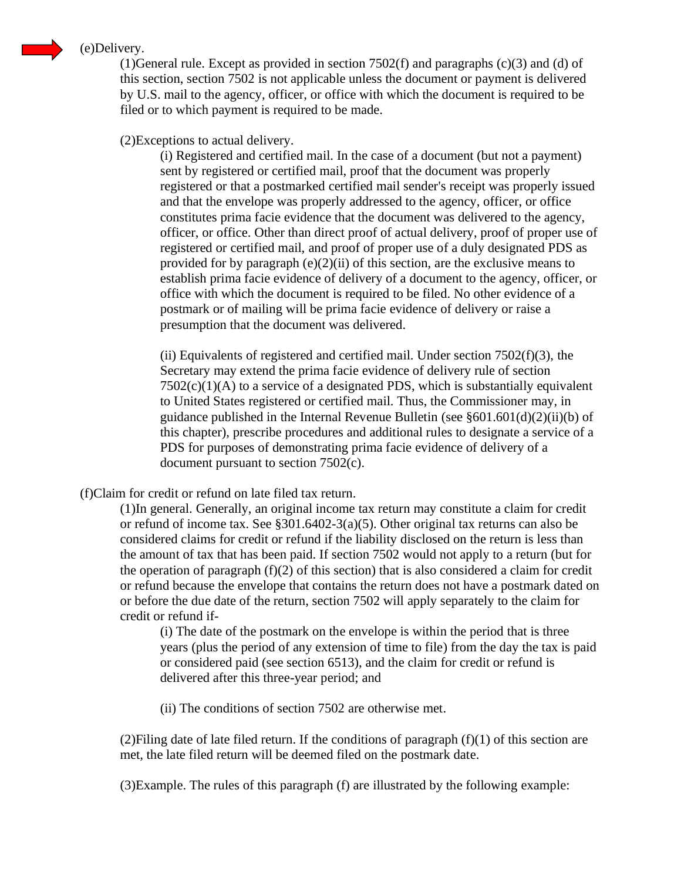

# (e)Delivery.

(1)General rule. Except as provided in section  $7502(f)$  and paragraphs (c)(3) and (d) of this section, section 7502 is not applicable unless the document or payment is delivered by U.S. mail to the agency, officer, or office with which the document is required to be filed or to which payment is required to be made.

(2)Exceptions to actual delivery.

(i) Registered and certified mail. In the case of a document (but not a payment) sent by registered or certified mail, proof that the document was properly registered or that a postmarked certified mail sender's receipt was properly issued and that the envelope was properly addressed to the agency, officer, or office constitutes prima facie evidence that the document was delivered to the agency, officer, or office. Other than direct proof of actual delivery, proof of proper use of registered or certified mail, and proof of proper use of a duly designated PDS as provided for by paragraph  $(e)(2)(ii)$  of this section, are the exclusive means to establish prima facie evidence of delivery of a document to the agency, officer, or office with which the document is required to be filed. No other evidence of a postmark or of mailing will be prima facie evidence of delivery or raise a presumption that the document was delivered.

(ii) Equivalents of registered and certified mail. Under section  $7502(f)(3)$ , the Secretary may extend the prima facie evidence of delivery rule of section  $7502(c)(1)(A)$  to a service of a designated PDS, which is substantially equivalent to United States registered or certified mail. Thus, the Commissioner may, in guidance published in the Internal Revenue Bulletin (see §601.601(d)(2)(ii)(b) of this chapter), prescribe procedures and additional rules to designate a service of a PDS for purposes of demonstrating prima facie evidence of delivery of a document pursuant to section 7502(c).

(f)Claim for credit or refund on late filed tax return.

(1)In general. Generally, an original income tax return may constitute a claim for credit or refund of income tax. See  $\S 301.6402 - 3(a)(5)$ . Other original tax returns can also be considered claims for credit or refund if the liability disclosed on the return is less than the amount of tax that has been paid. If section 7502 would not apply to a return (but for the operation of paragraph (f)(2) of this section) that is also considered a claim for credit or refund because the envelope that contains the return does not have a postmark dated on or before the due date of the return, section 7502 will apply separately to the claim for credit or refund if-

(i) The date of the postmark on the envelope is within the period that is three years (plus the period of any extension of time to file) from the day the tax is paid or considered paid (see section 6513), and the claim for credit or refund is delivered after this three-year period; and

(ii) The conditions of section 7502 are otherwise met.

(2) Filing date of late filed return. If the conditions of paragraph  $(f)(1)$  of this section are met, the late filed return will be deemed filed on the postmark date.

(3)Example. The rules of this paragraph (f) are illustrated by the following example: